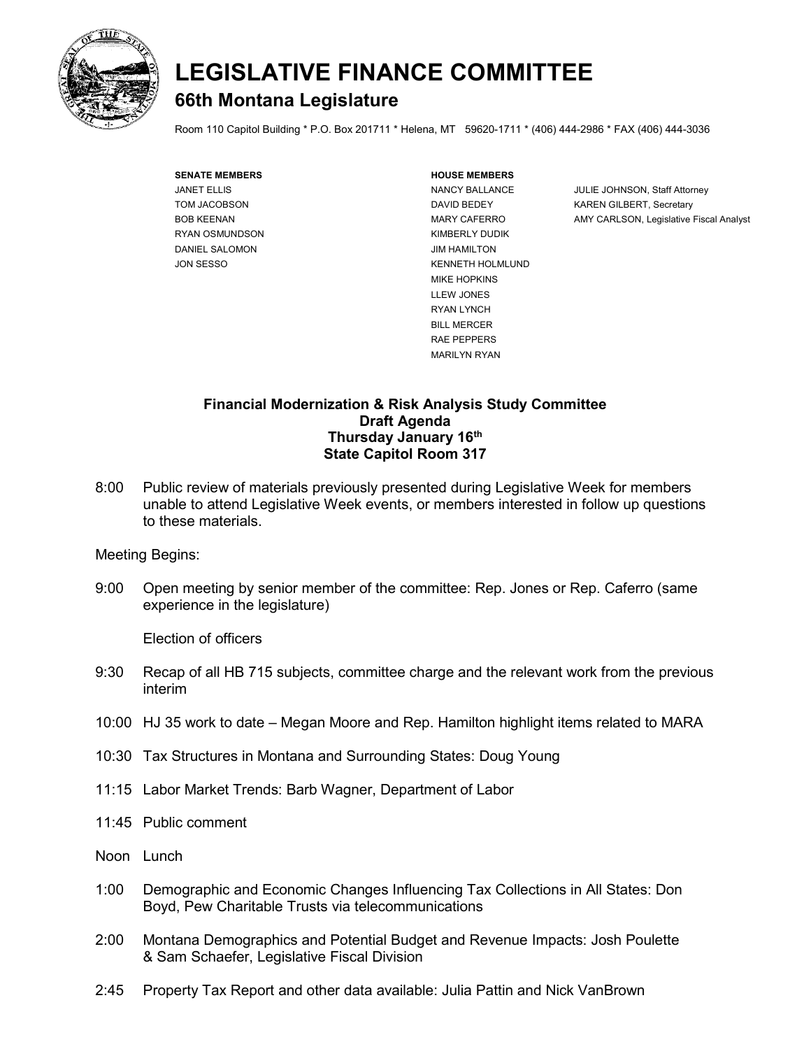

## **LEGISLATIVE FINANCE COMMITTEE 66th Montana Legislature**

Room 110 Capitol Building \* P.O. Box 201711 \* Helena, MT 59620-1711 \* (406) 444-2986 \* FAX (406) 444-3036

**SENATE MEMBERS HOUSE MEMBERS** RYAN OSMUNDSON KIMBERLY DUDIK DANIEL SALOMON JIM HAMILTON

JON SESSO KENNETH HOLMLUND MIKE HOPKINS LLEW JONES RYAN LYNCH BILL MERCER RAE PEPPERS MARILYN RYAN

JANET ELLIS NANCY BALLANCE JULIE JOHNSON, Staff Attorney TOM JACOBSON **DAVID BEDEY** KAREN GILBERT, Secretary BOB KEENAN MARY CAFERRO AMY CARLSON, Legislative Fiscal Analyst

### **Financial Modernization & Risk Analysis Study Committee Draft Agenda Thursday January 16th State Capitol Room 317**

8:00 Public review of materials previously presented during Legislative Week for members unable to attend Legislative Week events, or members interested in follow up questions to these materials.

Meeting Begins:

9:00 Open meeting by senior member of the committee: Rep. Jones or Rep. Caferro (same experience in the legislature)

Election of officers

- 9:30 Recap of all HB 715 subjects, committee charge and the relevant work from the previous interim
- 10:00 HJ 35 work to date Megan Moore and Rep. Hamilton highlight items related to MARA
- 10:30 Tax Structures in Montana and Surrounding States: Doug Young
- 11:15 Labor Market Trends: Barb Wagner, Department of Labor
- 11:45 Public comment
- Noon Lunch
- 1:00 Demographic and Economic Changes Influencing Tax Collections in All States: Don Boyd, Pew Charitable Trusts via telecommunications
- 2:00 Montana Demographics and Potential Budget and Revenue Impacts: Josh Poulette & Sam Schaefer, Legislative Fiscal Division
- 2:45 Property Tax Report and other data available: Julia Pattin and Nick VanBrown